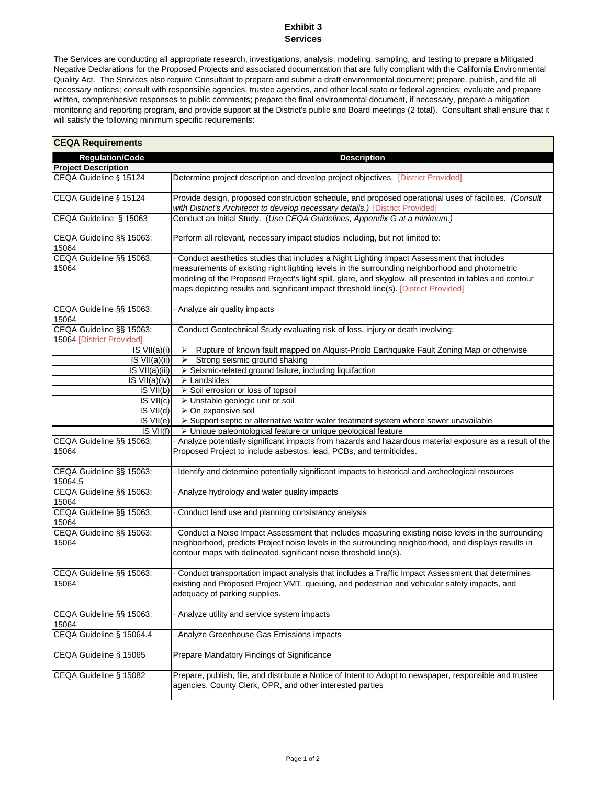## **Exhibit 3 Services**

The Services are conducting all appropriate research, investigations, analysis, modeling, sampling, and testing to prepare a Mitigated Negative Declarations for the Proposed Projects and associated documentation that are fully compliant with the California Environmental Quality Act. The Services also require Consultant to prepare and submit a draft environmental document; prepare, publish, and file all necessary notices; consult with responsible agencies, trustee agencies, and other local state or federal agencies; evaluate and prepare written, comprenhesive responses to public comments; prepare the final environmental document, if necessary, prepare a mitigation monitoring and reporting program, and provide support at the District's public and Board meetings (2 total). Consultant shall ensure that it will satisfy the following minimum specific requirements:

| <b>CEQA Requirements</b>                              |                                                                                                                                                                                                                                                                                                                                                                                                |
|-------------------------------------------------------|------------------------------------------------------------------------------------------------------------------------------------------------------------------------------------------------------------------------------------------------------------------------------------------------------------------------------------------------------------------------------------------------|
| <b>Regulation/Code</b>                                | <b>Description</b>                                                                                                                                                                                                                                                                                                                                                                             |
| <b>Project Description</b>                            |                                                                                                                                                                                                                                                                                                                                                                                                |
| CEQA Guideline § 15124                                | Determine project description and develop project objectives. [District Provided]                                                                                                                                                                                                                                                                                                              |
| CEQA Guideline § 15124                                | Provide design, proposed construction schedule, and proposed operational uses of facilities. (Consult<br>with District's Architecct to develop necessary details.) [District Provided]                                                                                                                                                                                                         |
| CEQA Guideline § 15063                                | Conduct an Initial Study. (Use CEQA Guidelines, Appendix G at a minimum.)                                                                                                                                                                                                                                                                                                                      |
| CEQA Guideline §§ 15063;<br>15064                     | Perform all relevant, necessary impact studies including, but not limited to:                                                                                                                                                                                                                                                                                                                  |
| CEQA Guideline §§ 15063;<br>15064                     | Conduct aesthetics studies that includes a Night Lighting Impact Assessment that includes<br>measurements of existing night lighting levels in the surrounding neighborhood and photometric<br>modeling of the Proposed Project's light spill, glare, and skyglow, all presented in tables and contour<br>maps depicting results and significant impact threshold line(s). [District Provided] |
| CEQA Guideline §§ 15063;<br>15064                     | Analyze air quality impacts                                                                                                                                                                                                                                                                                                                                                                    |
| CEQA Guideline §§ 15063;<br>15064 [District Provided] | Conduct Geotechnical Study evaluating risk of loss, injury or death involving:                                                                                                                                                                                                                                                                                                                 |
| $\overline{\text{IS VII}(a)}(i)$                      | Rupture of known fault mapped on Alquist-Priolo Earthquake Fault Zoning Map or otherwise<br>➤                                                                                                                                                                                                                                                                                                  |
| IS VII(a)(ii)                                         | Strong seismic ground shaking<br>≻                                                                                                                                                                                                                                                                                                                                                             |
| IS VII(a)(iii)                                        | > Seismic-related ground failure, including liquifaction                                                                                                                                                                                                                                                                                                                                       |
| IS VII(a)(iv)                                         | > Landslides                                                                                                                                                                                                                                                                                                                                                                                   |
| IS VII(b)                                             | > Soil errosion or loss of topsoil                                                                                                                                                                                                                                                                                                                                                             |
| $IS$ $VII(c)$                                         | > Unstable geologic unit or soil                                                                                                                                                                                                                                                                                                                                                               |
| $IS$ $VII(d)$                                         | $\triangleright$ On expansive soil                                                                                                                                                                                                                                                                                                                                                             |
| IS VII(e)                                             | > Support septic or alternative water water treatment system where sewer unavailable                                                                                                                                                                                                                                                                                                           |
| $IS$ $VII(f)$                                         | > Unique paleontological feature or unique geological feature                                                                                                                                                                                                                                                                                                                                  |
| CEQA Guideline §§ 15063;<br>15064                     | Analyze potentially significant impacts from hazards and hazardous material exposure as a result of the<br>Proposed Project to include asbestos, lead, PCBs, and termiticides.                                                                                                                                                                                                                 |
| CEQA Guideline §§ 15063;<br>15064.5                   | Identify and determine potentially significant impacts to historical and archeological resources                                                                                                                                                                                                                                                                                               |
| CEQA Guideline §§ 15063;<br>15064                     | Analyze hydrology and water quality impacts                                                                                                                                                                                                                                                                                                                                                    |
| CEQA Guideline §§ 15063;<br>15064                     | Conduct land use and planning consistancy analysis                                                                                                                                                                                                                                                                                                                                             |
| CEQA Guideline §§ 15063;<br>15064                     | Conduct a Noise Impact Assessment that includes measuring existing noise levels in the surrounding<br>neighborhood, predicts Project noise levels in the surrounding neighborhood, and displays results in<br>contour maps with delineated significant noise threshold line(s).                                                                                                                |
| CEQA Guideline §§ 15063;<br>15064                     | Conduct transportation impact analysis that includes a Traffic Impact Assessment that determines<br>existing and Proposed Project VMT, queuing, and pedestrian and vehicular safety impacts, and<br>adequacy of parking supplies.                                                                                                                                                              |
| CEQA Guideline §§ 15063;<br>15064                     | Analyze utility and service system impacts                                                                                                                                                                                                                                                                                                                                                     |
| CEQA Guideline § 15064.4                              | Analyze Greenhouse Gas Emissions impacts                                                                                                                                                                                                                                                                                                                                                       |
| CEQA Guideline § 15065                                | Prepare Mandatory Findings of Significance                                                                                                                                                                                                                                                                                                                                                     |
| CEQA Guideline § 15082                                | Prepare, publish, file, and distribute a Notice of Intent to Adopt to newspaper, responsible and trustee<br>agencies, County Clerk, OPR, and other interested parties                                                                                                                                                                                                                          |